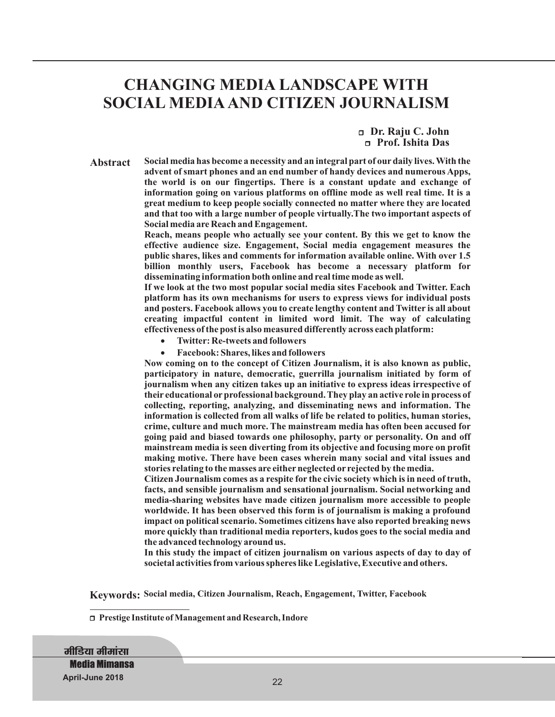# **CHANGING MEDIA LANDSCAPE WITH SOCIAL MEDIA AND CITIZEN JOURNALISM**

<sup>r</sup>**Dr. Raju C. John** <sup>r</sup>**Prof. Ishita Das**

**Abstract**

**Social media has become a necessity and an integral part of our daily lives. With the advent of smart phones and an end number of handy devices and numerous Apps, the world is on our fingertips. There is a constant update and exchange of information going on various platforms on offline mode as well real time. It is a great medium to keep people socially connected no matter where they are located and that too with a large number of people virtually.The two important aspects of Social media are Reach and Engagement.**

**Reach, means people who actually see your content. By this we get to know the effective audience size. Engagement, Social media engagement measures the public shares, likes and comments for information available online. With over 1.5 billion monthly users, Facebook has become a necessary platform for disseminating information both online and real time mode as well.**

**If we look at the two most popular social media sites Facebook and Twitter. Each platform has its own mechanisms for users to express views for individual posts and posters. Facebook allows you to create lengthy content and Twitter is all about creating impactful content in limited word limit. The way of calculating effectiveness of the post is also measured differently across each platform:**

- · **Twitter: Re-tweets and followers**
- · **Facebook: Shares, likes and followers**

**Now coming on to the concept of Citizen Journalism, it is also known as public, participatory in nature, democratic, guerrilla journalism initiated by form of journalism when any citizen takes up an initiative to express ideas irrespective of their educational or professional background. They play an active role in process of collecting, reporting, analyzing, and disseminating news and information. The information is collected from all walks of life be related to politics, human stories, crime, culture and much more. The mainstream media has often been accused for going paid and biased towards one philosophy, party or personality. On and off mainstream media is seen diverting from its objective and focusing more on profit making motive. There have been cases wherein many social and vital issues and stories relating to the masses are either neglected or rejected by the media.**

**Citizen Journalism comes as a respite for the civic society which is in need of truth, facts, and sensible journalism and sensational journalism. Social networking and media-sharing websites have made citizen journalism more accessible to people worldwide. It has been observed this form is of journalism is making a profound impact on political scenario. Sometimes citizens have also reported breaking news more quickly than traditional media reporters, kudos goes to the social media and the advanced technology around us.**

**In this study the impact of citizen journalism on various aspects of day to day of societal activities from various spheres like Legislative, Executive and others.**

**Keywords: Social media, Citizen Journalism, Reach, Engagement, Twitter, Facebook**

<sup>r</sup>**Prestige Institute of Management and Research, Indore**

**मीडिया मीमांसा Media Mimansa April-June 2018**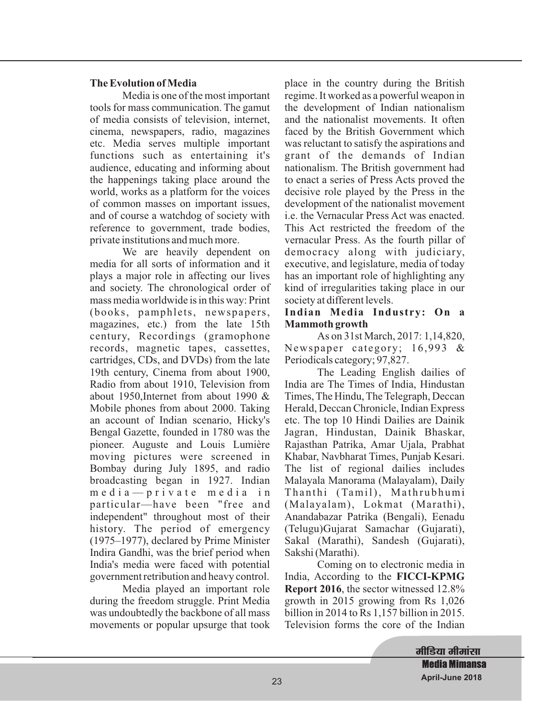## **The Evolution of Media**

Media is one of the most important tools for mass communication. The gamut of media consists of television, internet, cinema, newspapers, radio, magazines etc. Media serves multiple important functions such as entertaining it's audience, educating and informing about the happenings taking place around the world, works as a platform for the voices of common masses on important issues, and of course a watchdog of society with reference to government, trade bodies, private institutions and much more.

We are heavily dependent on media for all sorts of information and it plays a major role in affecting our lives and society. The chronological order of mass media worldwide is in this way: Print (books, pamphlets, newspapers, magazines, etc.) from the late 15th century, Recordings (gramophone records, magnetic tapes, cassettes, cartridges, CDs, and DVDs) from the late 19th century, Cinema from about 1900, Radio from about 1910, Television from about 1950,Internet from about 1990 & Mobile phones from about 2000. Taking an account of Indian scenario, Hicky's Bengal Gazette, founded in 1780 was the pioneer. Auguste and Louis Lumière moving pictures were screened in Bombay during July 1895, and radio broadcasting began in 1927. Indian m e d i a — p r i v a t e m e d i a i n particular—have been "free and independent" throughout most of their history. The period of emergency (1975–1977), declared by Prime Minister Indira Gandhi, was the brief period when India's media were faced with potential government retribution and heavy control.

Media played an important role during the freedom struggle. Print Media was undoubtedly the backbone of all mass movements or popular upsurge that took

place in the country during the British regime. It worked as a powerful weapon in the development of Indian nationalism and the nationalist movements. It often faced by the British Government which was reluctant to satisfy the aspirations and grant of the demands of Indian nationalism. The British government had to enact a series of Press Acts proved the decisive role played by the Press in the development of the nationalist movement i.e. the Vernacular Press Act was enacted. This Act restricted the freedom of the vernacular Press. As the fourth pillar of democracy along with judiciary, executive, and legislature, media of today has an important role of highlighting any kind of irregularities taking place in our society at different levels.

#### **Indian Media Industry: On a Mammoth growth**

As on 31st March, 2017: 1,14,820, Newspaper category; 16,993 & Periodicals category; 97,827.

The Leading English dailies of India are The Times of India, Hindustan Times, The Hindu, The Telegraph, Deccan Herald, Deccan Chronicle, Indian Express etc. The top 10 Hindi Dailies are Dainik Jagran, Hindustan, Dainik Bhaskar, Rajasthan Patrika, Amar Ujala, Prabhat Khabar, Navbharat Times, Punjab Kesari. The list of regional dailies includes Malayala Manorama (Malayalam), Daily Thanthi (Tamil), Mathrubhumi (Malayalam), Lokmat (Marathi), Anandabazar Patrika (Bengali), Eenadu (Telugu)Gujarat Samachar (Gujarati), Sakal (Marathi), Sandesh (Gujarati), Sakshi (Marathi).

Coming on to electronic media in India, According to the **FICCI-KPMG Report 2016**, the sector witnessed 12.8% growth in 2015 growing from Rs 1,026 billion in 2014 to Rs 1,157 billion in 2015. Television forms the core of the Indian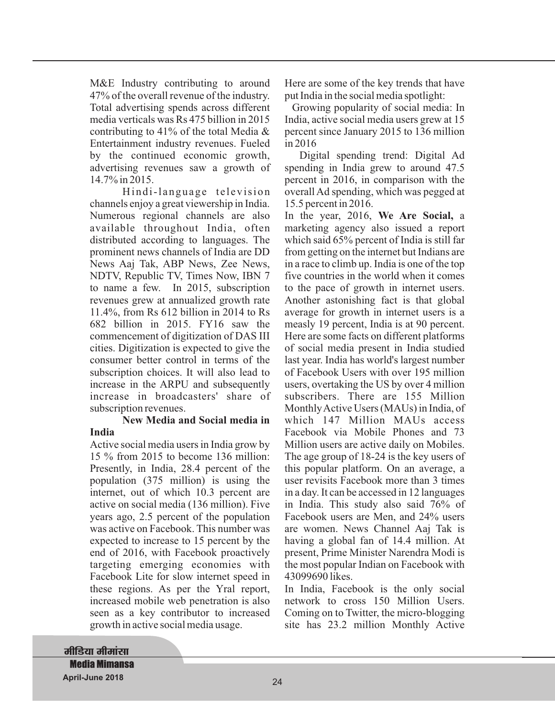M&E Industry contributing to around 47% of the overall revenue of the industry. Total advertising spends across different media verticals was Rs 475 billion in 2015 contributing to 41% of the total Media & Entertainment industry revenues. Fueled by the continued economic growth, advertising revenues saw a growth of 14.7% in 2015.

Hindi-language television channels enjoy a great viewership in India. Numerous regional channels are also available throughout India, often distributed according to languages. The prominent news channels of India are DD News Aaj Tak, ABP News, Zee News, NDTV, Republic TV, Times Now, IBN 7 to name a few. In 2015, subscription revenues grew at annualized growth rate 11.4%, from Rs 612 billion in 2014 to Rs 682 billion in 2015. FY16 saw the commencement of digitization of DAS III cities. Digitization is expected to give the consumer better control in terms of the subscription choices. It will also lead to increase in the ARPU and subsequently increase in broadcasters' share of subscription revenues.

#### **New Media and Social media in India**

Active social media users in India grow by 15 % from 2015 to become 136 million: Presently, in India, 28.4 percent of the population (375 million) is using the internet, out of which 10.3 percent are active on social media (136 million). Five years ago, 2.5 percent of the population was active on Facebook. This number was expected to increase to 15 percent by the end of 2016, with Facebook proactively targeting emerging economies with Facebook Lite for slow internet speed in these regions. As per the Yral report, increased mobile web penetration is also seen as a key contributor to increased growth in active social media usage.

Here are some of the key trends that have put India in the social media spotlight:

Growing popularity of social media: In India, active social media users grew at 15 percent since January 2015 to 136 million in 2016

Digital spending trend: Digital Ad spending in India grew to around 47.5 percent in 2016, in comparison with the overall Ad spending, which was pegged at 15.5 percent in 2016.

In the year, 2016, We Are Social, a marketing agency also issued a report which said 65% percent of India is still far from getting on the internet but Indians are in a race to climb up. India is one of the top five countries in the world when it comes to the pace of growth in internet users. Another astonishing fact is that global average for growth in internet users is a measly 19 percent, India is at 90 percent. Here are some facts on different platforms of social media present in India studied last year. India has world's largest number of Facebook Users with over 195 million users, overtaking the US by over 4 million subscribers. There are 155 Million MonthlyActive Users (MAUs) in India, of which 147 Million MAUs access Facebook via Mobile Phones and 73 Million users are active daily on Mobiles. The age group of 18-24 is the key users of this popular platform. On an average, a user revisits Facebook more than 3 times in a day. It can be accessed in 12 languages in India. This study also said 76% of Facebook users are Men, and 24% users are women. News Channel Aaj Tak is having a global fan of 14.4 million. At present, Prime Minister Narendra Modi is the most popular Indian on Facebook with 43099690 likes.

In India, Facebook is the only social network to cross 150 Million Users. Coming on to Twitter, the micro-blogging site has 23.2 million Monthly Active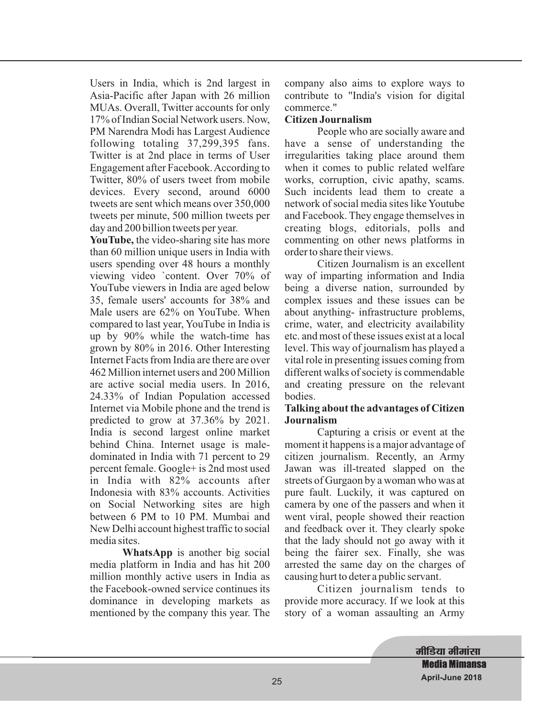Users in India, which is 2nd largest in Asia-Pacific after Japan with 26 million MUAs. Overall, Twitter accounts for only 17% of Indian Social Network users. Now, PM Narendra Modi has Largest Audience following totaling 37,299,395 fans. Twitter is at 2nd place in terms of User Engagement after Facebook.According to Twitter, 80% of users tweet from mobile devices. Every second, around 6000 tweets are sent which means over 350,000 tweets per minute, 500 million tweets per day and 200 billion tweets per year.

**YouTube,** the video-sharing site has more than 60 million unique users in India with users spending over 48 hours a monthly viewing video `content. Over 70% of YouTube viewers in India are aged below 35, female users' accounts for 38% and Male users are 62% on YouTube. When compared to last year, YouTube in India is up by 90% while the watch-time has grown by 80% in 2016. Other Interesting Internet Facts from India are there are over 462 Million internet users and 200 Million are active social media users. In 2016, 24.33% of Indian Population accessed Internet via Mobile phone and the trend is predicted to grow at 37.36% by 2021. India is second largest online market behind China. Internet usage is maledominated in India with 71 percent to 29 percent female. Google+ is 2nd most used in India with 82% accounts after Indonesia with 83% accounts. Activities on Social Networking sites are high between 6 PM to 10 PM. Mumbai and New Delhi account highest traffic to social media sites.

**WhatsApp** is another big social media platform in India and has hit 200 million monthly active users in India as the Facebook-owned service continues its dominance in developing markets as mentioned by the company this year. The company also aims to explore ways to contribute to "India's vision for digital commerce."

#### **Citizen Journalism**

People who are socially aware and have a sense of understanding the irregularities taking place around them when it comes to public related welfare works, corruption, civic apathy, scams. Such incidents lead them to create a network of social media sites like Youtube and Facebook. They engage themselves in creating blogs, editorials, polls and commenting on other news platforms in order to share their views.

Citizen Journalism is an excellent way of imparting information and India being a diverse nation, surrounded by complex issues and these issues can be about anything- infrastructure problems, crime, water, and electricity availability etc. and most of these issues exist at a local level. This way of journalism has played a vital role in presenting issues coming from different walks of society is commendable and creating pressure on the relevant bodies.

## **Talking about the advantages of Citizen Journalism**

Capturing a crisis or event at the moment it happens is a major advantage of citizen journalism. Recently, an Army Jawan was ill-treated slapped on the streets of Gurgaon by a woman who was at pure fault. Luckily, it was captured on camera by one of the passers and when it went viral, people showed their reaction and feedback over it. They clearly spoke that the lady should not go away with it being the fairer sex. Finally, she was arrested the same day on the charges of causing hurt to deter a public servant.

Citizen journalism tends to provide more accuracy. If we look at this story of a woman assaulting an Army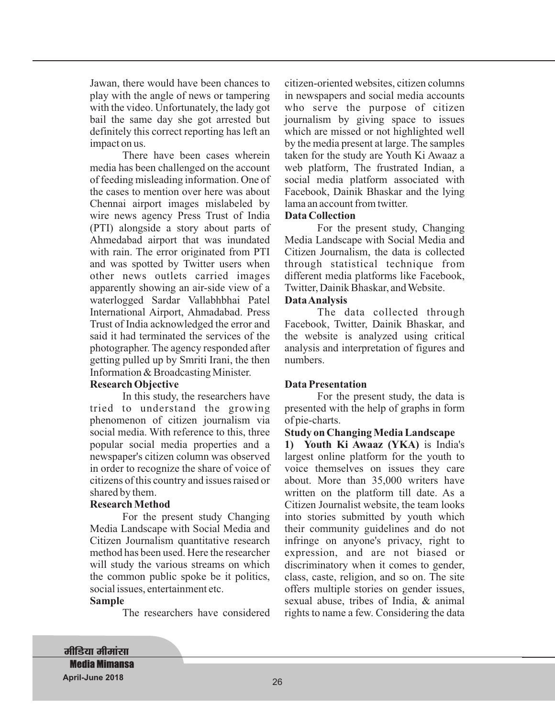Jawan, there would have been chances to play with the angle of news or tampering with the video. Unfortunately, the lady got bail the same day she got arrested but definitely this correct reporting has left an impact on us.

There have been cases wherein media has been challenged on the account of feeding misleading information. One of the cases to mention over here was about Chennai airport images mislabeled by wire news agency Press Trust of India (PTI) alongside a story about parts of Ahmedabad airport that was inundated with rain. The error originated from PTI and was spotted by Twitter users when other news outlets carried images apparently showing an air-side view of a waterlogged Sardar Vallabhbhai Patel International Airport, Ahmadabad. Press Trust of India acknowledged the error and said it had terminated the services of the photographer. The agency responded after getting pulled up by Smriti Irani, the then Information & Broadcasting Minister.

#### **Research Objective**

In this study, the researchers have tried to understand the growing phenomenon of citizen journalism via social media. With reference to this, three popular social media properties and a newspaper's citizen column was observed in order to recognize the share of voice of citizens of this country and issues raised or shared by them.

#### **Research Method**

For the present study Changing Media Landscape with Social Media and Citizen Journalism quantitative research method has been used. Here the researcher will study the various streams on which the common public spoke be it politics, social issues, entertainment etc.

#### **Sample**

The researchers have considered

citizen-oriented websites, citizen columns in newspapers and social media accounts who serve the purpose of citizen journalism by giving space to issues which are missed or not highlighted well by the media present at large. The samples taken for the study are Youth Ki Awaaz a web platform, The frustrated Indian, a social media platform associated with Facebook, Dainik Bhaskar and the lying lama an account from twitter.

#### **Data Collection**

For the present study, Changing Media Landscape with Social Media and Citizen Journalism, the data is collected through statistical technique from different media platforms like Facebook, Twitter, Dainik Bhaskar, and Website.

## **DataAnalysis**

The data collected through Facebook, Twitter, Dainik Bhaskar, and the website is analyzed using critical analysis and interpretation of figures and numbers.

## **Data Presentation**

For the present study, the data is presented with the help of graphs in form of pie-charts.

#### **Study on Changing Media Landscape**

**1) Youth Ki Awaaz (YKA)** is India's largest online platform for the youth to voice themselves on issues they care about. More than 35,000 writers have written on the platform till date. As a Citizen Journalist website, the team looks into stories submitted by youth which their community guidelines and do not infringe on anyone's privacy, right to expression, and are not biased or discriminatory when it comes to gender, class, caste, religion, and so on. The site offers multiple stories on gender issues, sexual abuse, tribes of India, & animal rights to name a few. Considering the data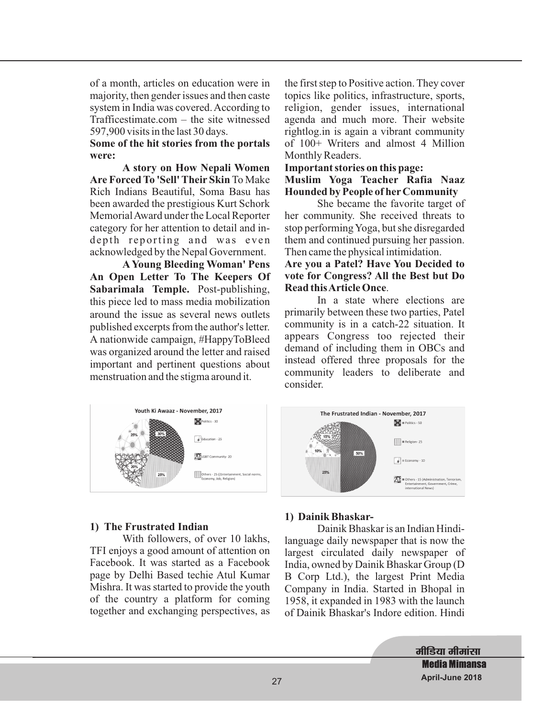of a month, articles on education were in majority, then gender issues and then caste system in India was covered.According to Trafficestimate.com – the site witnessed 597,900 visits in the last 30 days.

## **Some of the hit stories from the portals were:**

**A story on How Nepali Women Are Forced To 'Sell' Their Skin** To Make Rich Indians Beautiful, Soma Basu has been awarded the prestigious Kurt Schork MemorialAward under the Local Reporter category for her attention to detail and indepth reporting and was even acknowledged by the Nepal Government.

**A Young Bleeding Woman' Pens An Open Letter To The Keepers Of Sabarimala Temple.** Post-publishing, this piece led to mass media mobilization around the issue as several news outlets published excerpts from the author's letter. A nationwide campaign, #HappyToBleed was organized around the letter and raised important and pertinent questions about menstruation and the stigma around it.

the first step to Positive action. They cover topics like politics, infrastructure, sports, religion, gender issues, international agenda and much more. Their website rightlog.in is again a vibrant community of 100+ Writers and almost 4 Million Monthly Readers.

## **Important stories on this page:**

**Muslim Yoga Teacher Rafia Naaz Hounded by People of her Community**

She became the favorite target of her community. She received threats to stop performing Yoga, but she disregarded them and continued pursuing her passion. Then came the physical intimidation.

**Are you a Patel? Have You Decided to vote for Congress? All the Best but Do Read thisArticle Once**.

In a state where elections are primarily between these two parties, Patel community is in a catch-22 situation. It appears Congress too rejected their demand of including them in OBCs and instead offered three proposals for the community leaders to deliberate and consider.



## **1) The Frustrated Indian**

With followers, of over 10 lakhs, TFI enjoys a good amount of attention on Facebook. It was started as a Facebook page by Delhi Based techie Atul Kumar Mishra. It was started to provide the youth of the country a platform for coming together and exchanging perspectives, as

## **1) Dainik Bhaskar-**

Dainik Bhaskar is an Indian Hindilanguage daily newspaper that is now the largest circulated daily newspaper of India, owned by Dainik Bhaskar Group (D B Corp Ltd.), the largest Print Media Company in India. Started in Bhopal in 1958, it expanded in 1983 with the launch of Dainik Bhaskar's Indore edition. Hindi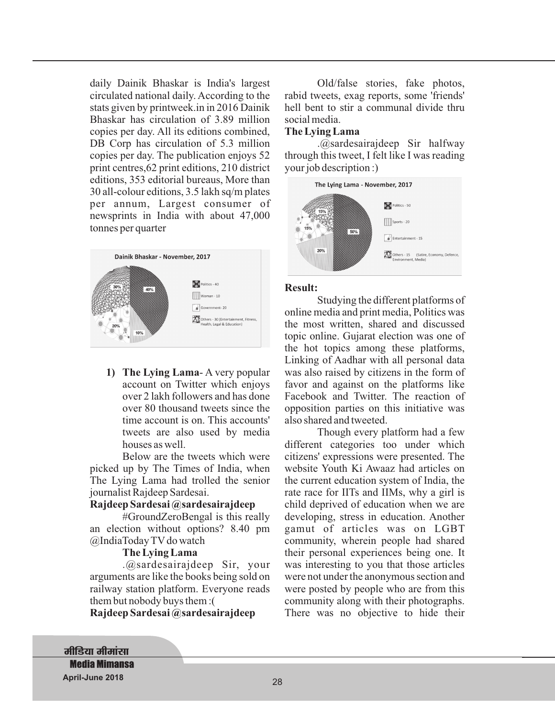daily Dainik Bhaskar is India's largest circulated national daily. According to the stats given by printweek.in in 2016 Dainik Bhaskar has circulation of 3.89 million copies per day. All its editions combined, DB Corp has circulation of 5.3 million copies per day. The publication enjoys 52 print centres,62 print editions, 210 district editions, 353 editorial bureaus, More than 30 all-colour editions, 3.5 lakh sq/m plates per annum, Largest consumer of newsprints in India with about 47,000 tonnes per quarter



**1) The Lying Lama**- A very popular account on Twitter which enjoys over 2 lakh followers and has done over 80 thousand tweets since the time account is on. This accounts' tweets are also used by media houses as well.

Below are the tweets which were picked up by The Times of India, when The Lying Lama had trolled the senior journalist Rajdeep Sardesai.

#### **Rajdeep Sardesai @sardesairajdeep**

#GroundZeroBengal is this really an election without options? 8.40 pm @IndiaToday TV do watch

#### **The Lying Lama**

.@sardesairajdeep Sir, your arguments are like the books being sold on railway station platform. Everyone reads them but nobody buys them :(

**Rajdeep Sardesai @sardesairajdeep**

Old/false stories, fake photos, rabid tweets, exag reports, some 'friends' hell bent to stir a communal divide thru social media.

#### **The Lying Lama**

.@sardesairajdeep Sir halfway through this tweet, I felt like I was reading your job description :)



#### **Result:**

Studying the different platforms of online media and print media, Politics was the most written, shared and discussed topic online. Gujarat election was one of the hot topics among these platforms, Linking of Aadhar with all personal data was also raised by citizens in the form of favor and against on the platforms like Facebook and Twitter. The reaction of opposition parties on this initiative was also shared and tweeted.

Though every platform had a few different categories too under which citizens' expressions were presented. The website Youth Ki Awaaz had articles on the current education system of India, the rate race for IITs and IIMs, why a girl is child deprived of education when we are developing, stress in education. Another gamut of articles was on LGBT community, wherein people had shared their personal experiences being one. It was interesting to you that those articles were not under the anonymous section and were posted by people who are from this community along with their photographs. There was no objective to hide their

**मीडिया मीमांसा Media Mimansa April-June 2018**